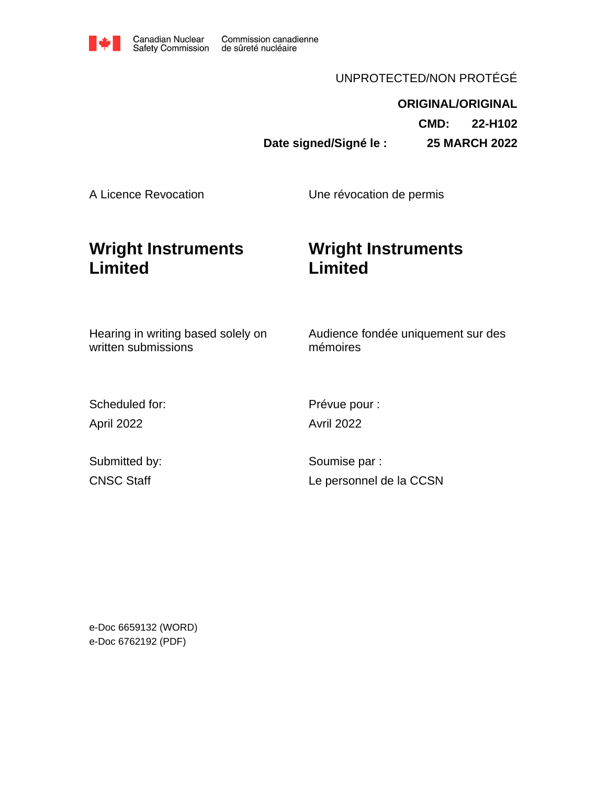

#### UNPROTECTED/NON PROTÉGÉ

**ORIGINAL/ORIGINAL**

**Date signed/Signé le : 25 MARCH 2022**

**CMD: 22-H102**

A Licence Revocation **EXEC EXECUTE:** Une révocation de permis

# **Wright Instruments Limited**

# **Wright Instruments Limited**

Hearing in writing based solely on written submissions

Audience fondée uniquement sur des mémoires

Scheduled for:

April 2022

Prévue pour : Avril 2022

Submitted by: CNSC Staff

Soumise par : Le personnel de la CCSN

e-Doc 6659132 (WORD) e-Doc 6762192 (PDF)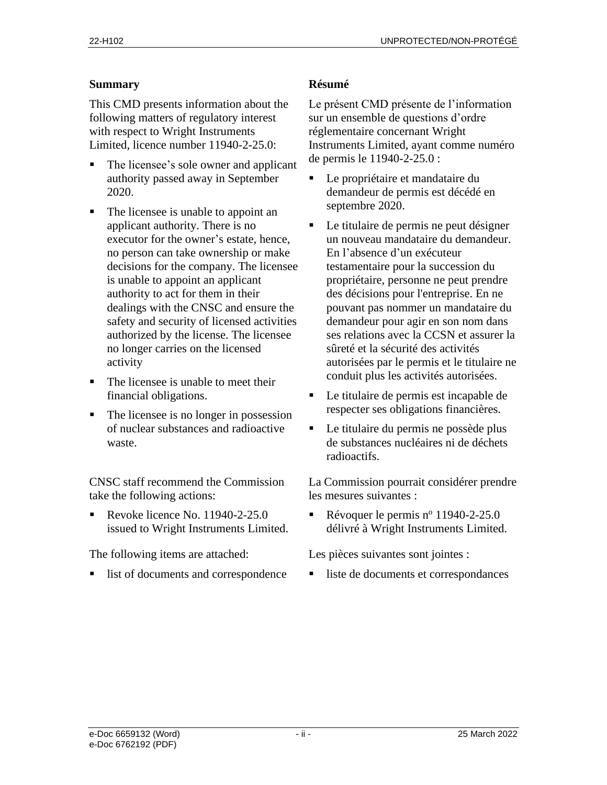#### **Summary**

This CMD presents information about the following matters of regulatory interest with respect to Wright Instruments Limited, licence number 11940-2-25.0:

- The licensee's sole owner and applicant authority passed away in September 2020.
- The licensee is unable to appoint an applicant authority. There is no executor for the owner's estate, hence, no person can take ownership or make decisions for the company. The licensee is unable to appoint an applicant authority to act for them in their dealings with the CNSC and ensure the safety and security of licensed activities authorized by the license. The licensee no longer carries on the licensed activity
- The licensee is unable to meet their financial obligations.
- The licensee is no longer in possession of nuclear substances and radioactive waste.

CNSC staff recommend the Commission take the following actions:

Revoke licence No. 11940-2-25.0 issued to Wright Instruments Limited.

The following items are attached:

■ list of documents and correspondence

#### **Résumé**

Le présent CMD présente de l'information sur un ensemble de questions d'ordre réglementaire concernant Wright Instruments Limited, ayant comme numéro de permis le 11940-2-25.0 :

- Le propriétaire et mandataire du demandeur de permis est décédé en septembre 2020.
- Le titulaire de permis ne peut désigner un nouveau mandataire du demandeur. En l'absence d'un exécuteur testamentaire pour la succession du propriétaire, personne ne peut prendre des décisions pour l'entreprise. En ne pouvant pas nommer un mandataire du demandeur pour agir en son nom dans ses relations avec la CCSN et assurer la sûreté et la sécurité des activités autorisées par le permis et le titulaire ne conduit plus les activités autorisées.
- Le titulaire de permis est incapable de respecter ses obligations financières.
- Le titulaire du permis ne possède plus de substances nucléaires ni de déchets radioactifs.

La Commission pourrait considérer prendre les mesures suivantes :

 $\blacksquare$  Révoquer le permis n° 11940-2-25.0 délivré à Wright Instruments Limited.

Les pièces suivantes sont jointes :

■ liste de documents et correspondances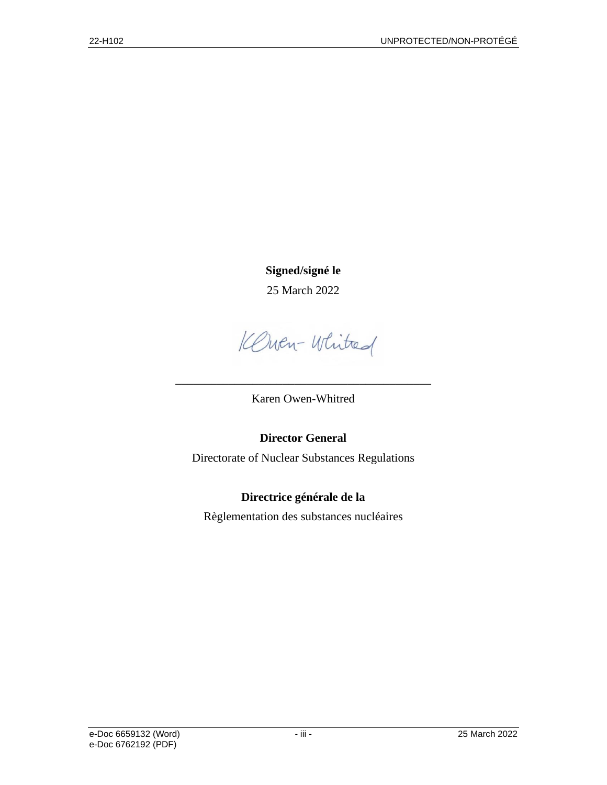**Signed/signé le** 25 March 2022

Kerven-Whited

\_\_\_\_\_\_\_\_\_\_\_\_\_\_\_\_\_\_\_\_\_\_\_\_\_\_\_\_\_\_\_\_\_\_\_\_\_\_\_\_\_\_\_ Karen Owen-Whitred

#### **Director General**

Directorate of Nuclear Substances Regulations

#### **Directrice générale de la**

Règlementation des substances nucléaires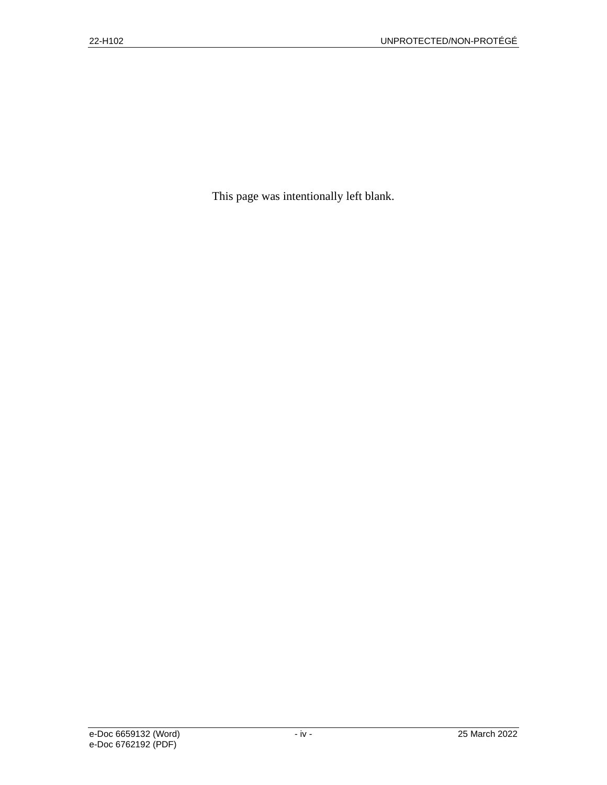This page was intentionally left blank.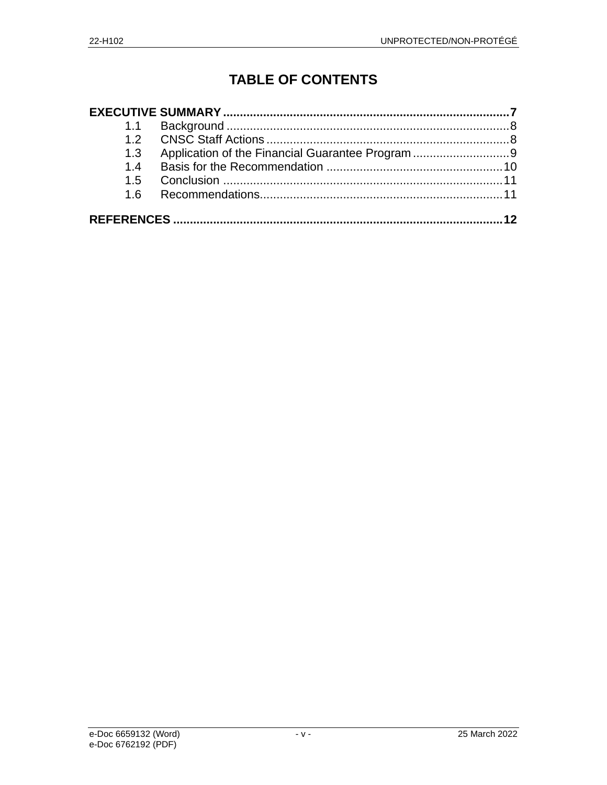# **TABLE OF CONTENTS**

| 1.1 |  |  |
|-----|--|--|
|     |  |  |
| 1.3 |  |  |
|     |  |  |
|     |  |  |
| 1 R |  |  |
|     |  |  |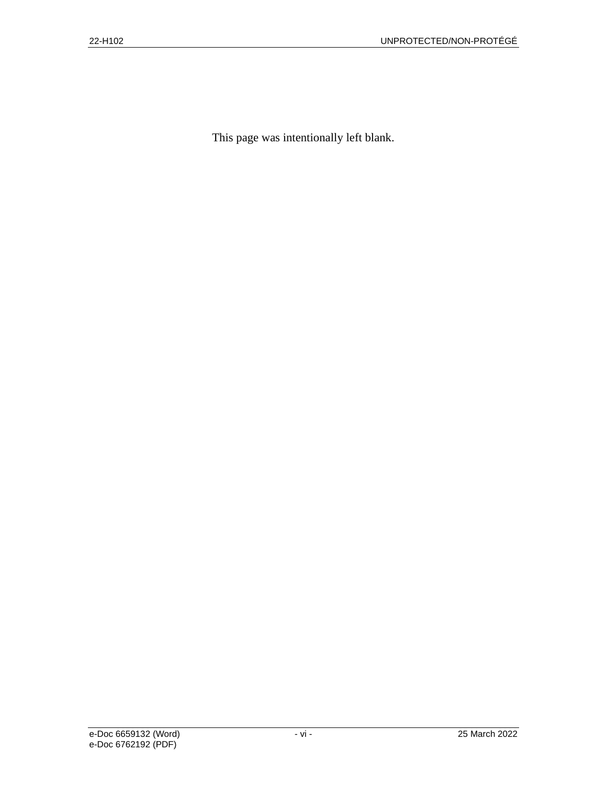This page was intentionally left blank.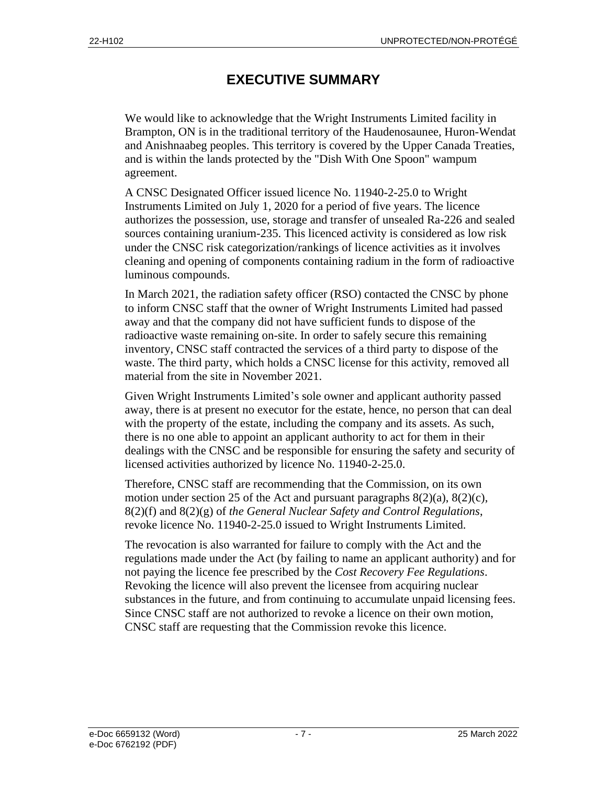### **EXECUTIVE SUMMARY**

<span id="page-6-0"></span>We would like to acknowledge that the Wright Instruments Limited facility in Brampton, ON is in the traditional territory of the Haudenosaunee, Huron-Wendat and Anishnaabeg peoples. This territory is covered by the Upper Canada Treaties, and is within the lands protected by the "Dish With One Spoon" wampum agreement.

A CNSC Designated Officer issued licence No. 11940-2-25.0 to Wright Instruments Limited on July 1, 2020 for a period of five years. The licence authorizes the possession, use, storage and transfer of unsealed Ra-226 and sealed sources containing uranium-235. This licenced activity is considered as low risk under the CNSC risk categorization/rankings of licence activities as it involves cleaning and opening of components containing radium in the form of radioactive luminous compounds.

In March 2021, the radiation safety officer (RSO) contacted the CNSC by phone to inform CNSC staff that the owner of Wright Instruments Limited had passed away and that the company did not have sufficient funds to dispose of the radioactive waste remaining on-site. In order to safely secure this remaining inventory, CNSC staff contracted the services of a third party to dispose of the waste. The third party, which holds a CNSC license for this activity, removed all material from the site in November 2021.

Given Wright Instruments Limited's sole owner and applicant authority passed away, there is at present no executor for the estate, hence, no person that can deal with the property of the estate, including the company and its assets. As such, there is no one able to appoint an applicant authority to act for them in their dealings with the CNSC and be responsible for ensuring the safety and security of licensed activities authorized by licence No. 11940-2-25.0.

Therefore, CNSC staff are recommending that the Commission, on its own motion under section 25 of the Act and pursuant paragraphs  $8(2)(a)$ ,  $8(2)(c)$ , 8(2)(f) and 8(2)(g) of *the General Nuclear Safety and Control Regulations*, revoke licence No. 11940-2-25.0 issued to Wright Instruments Limited.

The revocation is also warranted for failure to comply with the Act and the regulations made under the Act (by failing to name an applicant authority) and for not paying the licence fee prescribed by the *Cost Recovery Fee Regulations*. Revoking the licence will also prevent the licensee from acquiring nuclear substances in the future, and from continuing to accumulate unpaid licensing fees. Since CNSC staff are not authorized to revoke a licence on their own motion, CNSC staff are requesting that the Commission revoke this licence.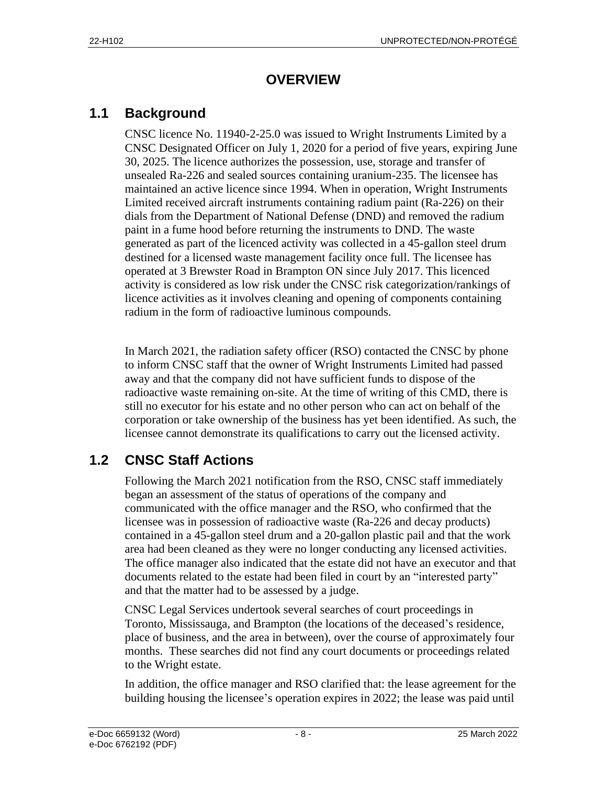## **OVERVIEW**

## <span id="page-7-0"></span>**1.1 Background**

CNSC licence No. 11940-2-25.0 was issued to Wright Instruments Limited by a CNSC Designated Officer on July 1, 2020 for a period of five years, expiring June 30, 2025. The licence authorizes the possession, use, storage and transfer of unsealed Ra-226 and sealed sources containing uranium-235. The licensee has maintained an active licence since 1994. When in operation, Wright Instruments Limited received aircraft instruments containing radium paint (Ra-226) on their dials from the Department of National Defense (DND) and removed the radium paint in a fume hood before returning the instruments to DND. The waste generated as part of the licenced activity was collected in a 45-gallon steel drum destined for a licensed waste management facility once full. The licensee has operated at 3 Brewster Road in Brampton ON since July 2017. This licenced activity is considered as low risk under the CNSC risk categorization/rankings of licence activities as it involves cleaning and opening of components containing radium in the form of radioactive luminous compounds.

In March 2021, the radiation safety officer (RSO) contacted the CNSC by phone to inform CNSC staff that the owner of Wright Instruments Limited had passed away and that the company did not have sufficient funds to dispose of the radioactive waste remaining on-site. At the time of writing of this CMD, there is still no executor for his estate and no other person who can act on behalf of the corporation or take ownership of the business has yet been identified. As such, the licensee cannot demonstrate its qualifications to carry out the licensed activity.

# <span id="page-7-1"></span>**1.2 CNSC Staff Actions**

Following the March 2021 notification from the RSO, CNSC staff immediately began an assessment of the status of operations of the company and communicated with the office manager and the RSO, who confirmed that the licensee was in possession of radioactive waste (Ra-226 and decay products) contained in a 45-gallon steel drum and a 20-gallon plastic pail and that the work area had been cleaned as they were no longer conducting any licensed activities. The office manager also indicated that the estate did not have an executor and that documents related to the estate had been filed in court by an "interested party" and that the matter had to be assessed by a judge.

CNSC Legal Services undertook several searches of court proceedings in Toronto, Mississauga, and Brampton (the locations of the deceased's residence, place of business, and the area in between), over the course of approximately four months. These searches did not find any court documents or proceedings related to the Wright estate.

In addition, the office manager and RSO clarified that: the lease agreement for the building housing the licensee's operation expires in 2022; the lease was paid until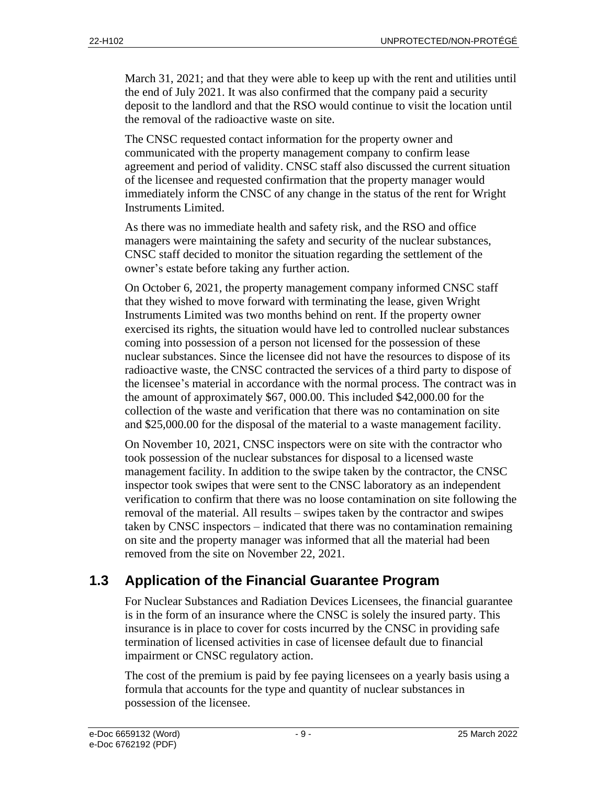March 31, 2021; and that they were able to keep up with the rent and utilities until the end of July 2021. It was also confirmed that the company paid a security deposit to the landlord and that the RSO would continue to visit the location until the removal of the radioactive waste on site.

The CNSC requested contact information for the property owner and communicated with the property management company to confirm lease agreement and period of validity. CNSC staff also discussed the current situation of the licensee and requested confirmation that the property manager would immediately inform the CNSC of any change in the status of the rent for Wright Instruments Limited.

As there was no immediate health and safety risk, and the RSO and office managers were maintaining the safety and security of the nuclear substances, CNSC staff decided to monitor the situation regarding the settlement of the owner's estate before taking any further action.

On October 6, 2021, the property management company informed CNSC staff that they wished to move forward with terminating the lease, given Wright Instruments Limited was two months behind on rent. If the property owner exercised its rights, the situation would have led to controlled nuclear substances coming into possession of a person not licensed for the possession of these nuclear substances. Since the licensee did not have the resources to dispose of its radioactive waste, the CNSC contracted the services of a third party to dispose of the licensee's material in accordance with the normal process. The contract was in the amount of approximately \$67, 000.00. This included \$42,000.00 for the collection of the waste and verification that there was no contamination on site and \$25,000.00 for the disposal of the material to a waste management facility.

On November 10, 2021, CNSC inspectors were on site with the contractor who took possession of the nuclear substances for disposal to a licensed waste management facility. In addition to the swipe taken by the contractor, the CNSC inspector took swipes that were sent to the CNSC laboratory as an independent verification to confirm that there was no loose contamination on site following the removal of the material. All results – swipes taken by the contractor and swipes taken by CNSC inspectors – indicated that there was no contamination remaining on site and the property manager was informed that all the material had been removed from the site on November 22, 2021.

### <span id="page-8-0"></span>**1.3 Application of the Financial Guarantee Program**

For Nuclear Substances and Radiation Devices Licensees, the financial guarantee is in the form of an insurance where the CNSC is solely the insured party. This insurance is in place to cover for costs incurred by the CNSC in providing safe termination of licensed activities in case of licensee default due to financial impairment or CNSC regulatory action.

The cost of the premium is paid by fee paying licensees on a yearly basis using a formula that accounts for the type and quantity of nuclear substances in possession of the licensee.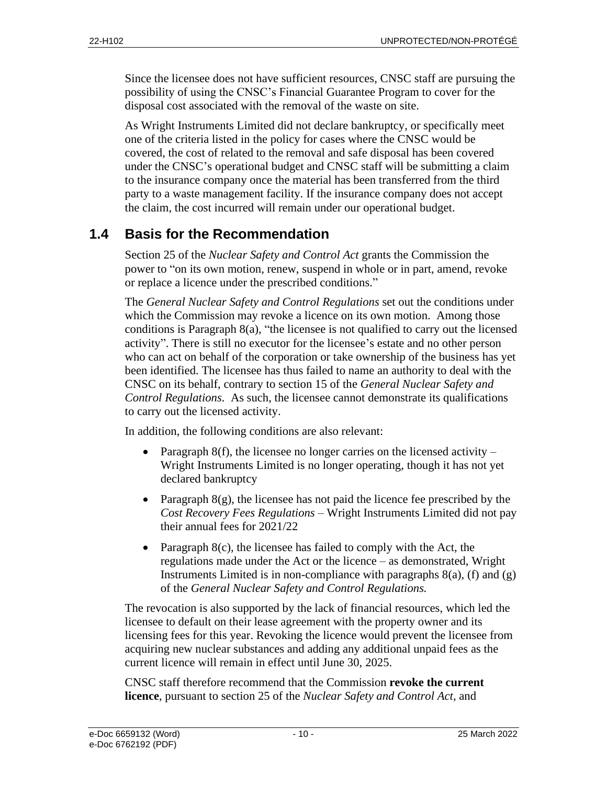Since the licensee does not have sufficient resources, CNSC staff are pursuing the possibility of using the CNSC's Financial Guarantee Program to cover for the disposal cost associated with the removal of the waste on site.

As Wright Instruments Limited did not declare bankruptcy, or specifically meet one of the criteria listed in the policy for cases where the CNSC would be covered, the cost of related to the removal and safe disposal has been covered under the CNSC's operational budget and CNSC staff will be submitting a claim to the insurance company once the material has been transferred from the third party to a waste management facility. If the insurance company does not accept the claim, the cost incurred will remain under our operational budget.

### <span id="page-9-0"></span>**1.4 Basis for the Recommendation**

Section 25 of the *Nuclear Safety and Control Act* grants the Commission the power to "on its own motion, renew, suspend in whole or in part, amend, revoke or replace a licence under the prescribed conditions."

The *General Nuclear Safety and Control Regulations* set out the conditions under which the Commission may revoke a licence on its own motion. Among those conditions is Paragraph 8(a), "the licensee is not qualified to carry out the licensed activity". There is still no executor for the licensee's estate and no other person who can act on behalf of the corporation or take ownership of the business has yet been identified. The licensee has thus failed to name an authority to deal with the CNSC on its behalf, contrary to section 15 of the *General Nuclear Safety and Control Regulations*. As such, the licensee cannot demonstrate its qualifications to carry out the licensed activity.

In addition, the following conditions are also relevant:

- Paragraph  $8(f)$ , the licensee no longer carries on the licensed activity Wright Instruments Limited is no longer operating, though it has not yet declared bankruptcy
- Paragraph  $8(g)$ , the licensee has not paid the licence fee prescribed by the *Cost Recovery Fees Regulations* – Wright Instruments Limited did not pay their annual fees for 2021/22
- Paragraph 8(c), the licensee has failed to comply with the Act, the regulations made under the Act or the licence – as demonstrated, Wright Instruments Limited is in non-compliance with paragraphs  $8(a)$ , (f) and (g) of the *General Nuclear Safety and Control Regulations.*

The revocation is also supported by the lack of financial resources, which led the licensee to default on their lease agreement with the property owner and its licensing fees for this year. Revoking the licence would prevent the licensee from acquiring new nuclear substances and adding any additional unpaid fees as the current licence will remain in effect until June 30, 2025.

CNSC staff therefore recommend that the Commission **revoke the current licence**, pursuant to section 25 of the *Nuclear Safety and Control Act*, and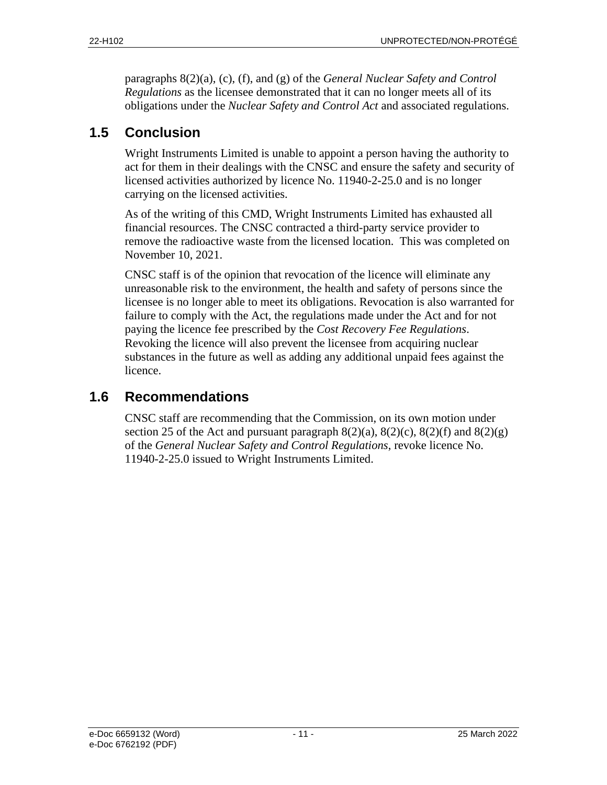paragraphs 8(2)(a), (c), (f), and (g) of the *General Nuclear Safety and Control Regulations* as the licensee demonstrated that it can no longer meets all of its obligations under the *Nuclear Safety and Control Act* and associated regulations.

### <span id="page-10-0"></span>**1.5 Conclusion**

Wright Instruments Limited is unable to appoint a person having the authority to act for them in their dealings with the CNSC and ensure the safety and security of licensed activities authorized by licence No. 11940-2-25.0 and is no longer carrying on the licensed activities.

As of the writing of this CMD, Wright Instruments Limited has exhausted all financial resources. The CNSC contracted a third-party service provider to remove the radioactive waste from the licensed location. This was completed on November 10, 2021.

CNSC staff is of the opinion that revocation of the licence will eliminate any unreasonable risk to the environment, the health and safety of persons since the licensee is no longer able to meet its obligations. Revocation is also warranted for failure to comply with the Act, the regulations made under the Act and for not paying the licence fee prescribed by the *Cost Recovery Fee Regulations*. Revoking the licence will also prevent the licensee from acquiring nuclear substances in the future as well as adding any additional unpaid fees against the licence.

### <span id="page-10-1"></span>**1.6 Recommendations**

CNSC staff are recommending that the Commission, on its own motion under section 25 of the Act and pursuant paragraph  $8(2)(a)$ ,  $8(2)(c)$ ,  $8(2)(f)$  and  $8(2)(g)$ of the *General Nuclear Safety and Control Regulations*, revoke licence No. 11940-2-25.0 issued to Wright Instruments Limited.